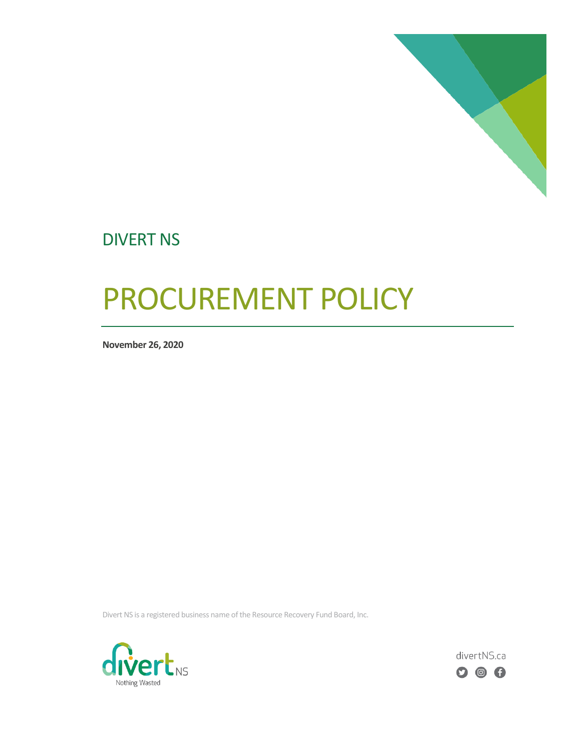

## DIVERT NS

# PROCUREMENT POLICY

**November 26, 2020**

Divert NS is a registered business name of the Resource Recovery Fund Board, Inc.



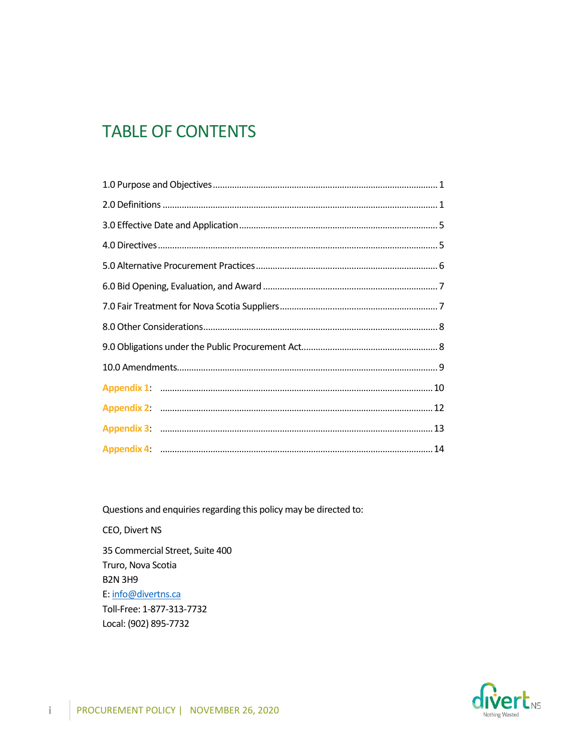### **TABLE OF CONTENTS**

Questions and enquiries regarding this policy may be directed to:

CEO, Divert NS 35 Commercial Street, Suite 400 Truro, Nova Scotia **B2N 3H9** E: info@divertns.ca Toll-Free: 1-877-313-7732 Local: (902) 895-7732



 $\mathbf{i}$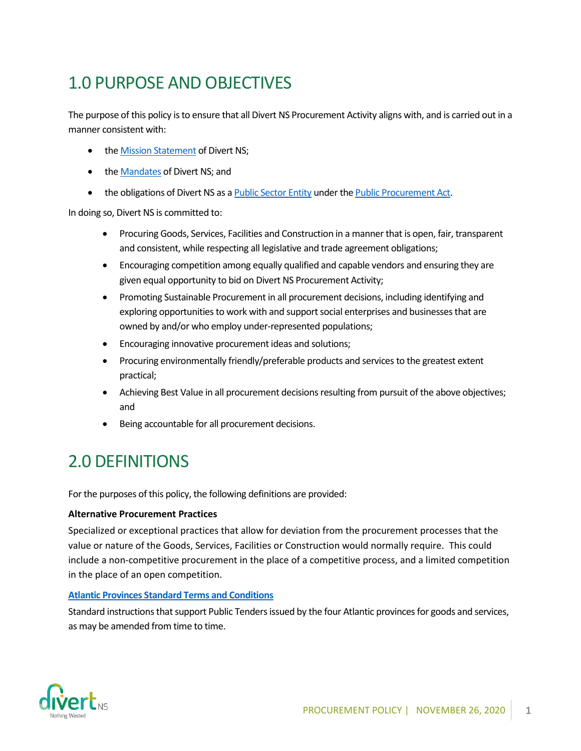# 1.0 PURPOSE AND OBJECTIVES

The purpose of this policy is to ensure that all Divert NS Procurement Activity aligns with, and is carried out in a manner consistent with:

- the **Mission Statement** of Divert NS;
- the [Mandates](https://divertns.ca/about-us) of Divert NS; and
- the obligations of Divert NS as a [Public Sector Entity](https://procurement.novascotia.ca/media/53979/public_sector_entities_under_the_public_procurement_act_2019.pdf) under th[e Public Procurement Act.](https://nslegislature.ca/sites/default/files/legc/statutes/public%20procurement.pdf)

In doing so, Divert NS is committed to:

- Procuring Goods, Services, Facilities and Construction in a manner that is open, fair, transparent and consistent, while respecting all legislative and trade agreement obligations;
- Encouraging competition among equally qualified and capable vendors and ensuring they are given equal opportunity to bid on Divert NS Procurement Activity;
- Promoting Sustainable Procurement in all procurement decisions, including identifying and exploring opportunities to work with and support social enterprises and businesses that are owned by and/or who employ under-represented populations;
- Encouraging innovative procurement ideas and solutions;
- Procuring environmentally friendly/preferable products and services to the greatest extent practical;
- Achieving Best Value in all procurement decisions resulting from pursuit of the above objectives; and
- Being accountable for all procurement decisions.

## <span id="page-2-0"></span>2.0 DEFINITIONS

For the purposes of this policy, the following definitions are provided:

#### **Alternative Procurement Practices**

Specialized or exceptional practices that allow for deviation from the procurement processes that the value or nature of the Goods, Services, Facilities or Construction would normally require. This could include a non-competitive procurement in the place of a competitive process, and a limited competition in the place of an open competition.

#### **[Atlantic Provinces Standard Terms and Conditions](https://atlanticsuppliers.ca/as-english/acts-regulations/atlantic-provinces-standard-terms-and-conditions-goods-and-services)**

Standard instructions that support Public Tenders issued by the four Atlantic provinces for goods and services, as may be amended from time to time.

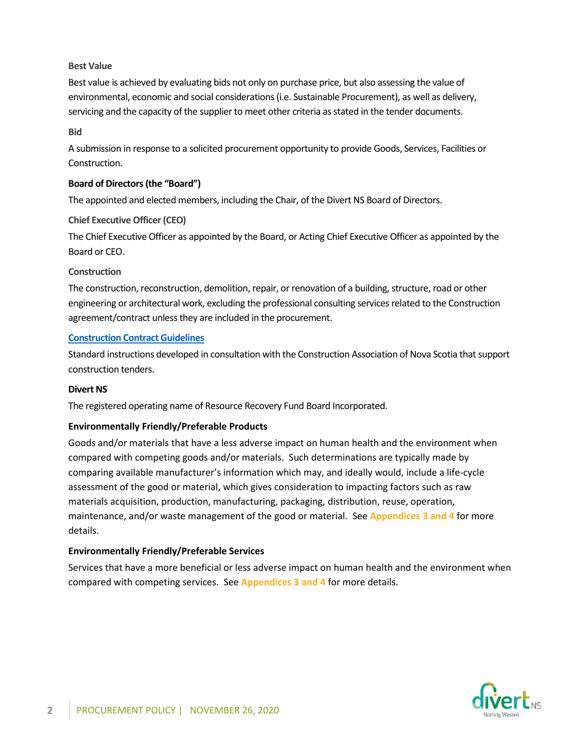#### **Best Value**

Best value is achieved by evaluating bids not only on purchase price, but also assessing the value of environmental, economic and social considerations(i.e. Sustainable Procurement), as well as delivery, servicing and the capacity of the supplier to meet other criteria as stated in the tender documents.

#### **Bid**

A submission in response to a solicited procurement opportunity to provide Goods, Services, Facilities or Construction.

#### **Board of Directors(the "Board")**

The appointed and elected members, including the Chair, of the Divert NS Board of Directors.

#### **Chief Executive Officer (CEO)**

The Chief Executive Officer as appointed by the Board, or Acting Chief Executive Officer as appointed by the Board or CEO.

#### **Construction**

The construction, reconstruction, demolition, repair, or renovation of a building, structure, road or other engineering or architectural work, excluding the professional consulting services related to the Construction agreement/contract unless they are included in the procurement.

#### **[Construction Contract Guidelines](https://procurement.novascotia.ca/media/54534/guide_construction%20contract%20guidelines%2017-06-15.pdf)**

Standard instructions developed in consultation with the Construction Association of Nova Scotia that support construction tenders.

#### **Divert NS**

The registered operating name of Resource Recovery Fund Board Incorporated.

#### **Environmentally Friendly/Preferable Products**

Goods and/or materials that have a less adverse impact on human health and the environment when compared with competing goods and/or materials. Such determinations are typically made by comparing available manufacturer's information which may, and ideally would, include a life-cycle assessment of the good or material, which gives consideration to impacting factors such as raw materials acquisition, production, manufacturing, packaging, distribution, reuse, operation, maintenance, and/or waste management of the good or material. See **Appendices 3 and 4** for more details.

#### **Environmentally Friendly/Preferable Services**

Services that have a more beneficial or less adverse impact on human health and the environment when compared with competing services. See **Appendices 3 and 4** for more details.

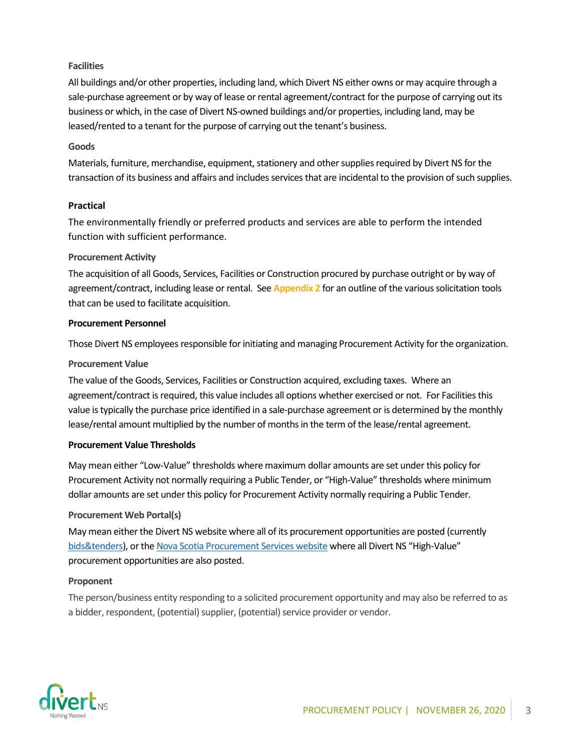#### **Facilities**

All buildings and/or other properties, including land, which Divert NS either owns or may acquire through a sale-purchase agreement or by way of lease or rental agreement/contract for the purpose of carrying out its business or which, in the case of Divert NS-owned buildings and/or properties, including land, may be leased/rented to a tenant for the purpose of carrying out the tenant's business.

#### **Goods**

Materials, furniture, merchandise, equipment, stationery and other supplies required by Divert NS for the transaction of its business and affairs and includes services that are incidental to the provision of such supplies.

#### **Practical**

The environmentally friendly or preferred products and services are able to perform the intended function with sufficient performance.

#### **Procurement Activity**

The acquisition of all Goods, Services, Facilities or Construction procured by purchase outright or by way of agreement/contract, including lease or rental. See **Appendix 2** for an outline of the various solicitation tools that can be used to facilitate acquisition.

#### **Procurement Personnel**

Those Divert NS employees responsible for initiating and managing Procurement Activity for the organization.

#### **Procurement Value**

The value of the Goods, Services, Facilities or Construction acquired, excluding taxes. Where an agreement/contract is required, this value includes all options whether exercised or not. For Facilities this value is typically the purchase price identified in a sale-purchase agreement or is determined by the monthly lease/rental amount multiplied by the number of months in the term of the lease/rental agreement.

#### **Procurement Value Thresholds**

May mean either "Low-Value" thresholds where maximum dollar amounts are set under this policy for Procurement Activity not normally requiring a Public Tender, or "High-Value" thresholds where minimum dollar amounts are set under this policy for Procurement Activity normally requiring a Public Tender.

#### **Procurement Web Portal(s)**

May mean either the Divert NS website where all of its procurement opportunities are posted (currently [bids&tenders\)](https://divertns.bidsandtenders.ca/Module/Tenders/en), or the [Nova Scotia Procurement Services website](https://procurement.novascotia.ca/ns-tenders.aspx) where all Divert NS "High-Value" procurement opportunities are also posted.

#### **Proponent**

The person/business entity responding to a solicited procurement opportunity and may also be referred to as a bidder, respondent, (potential) supplier, (potential) service provider or vendor.

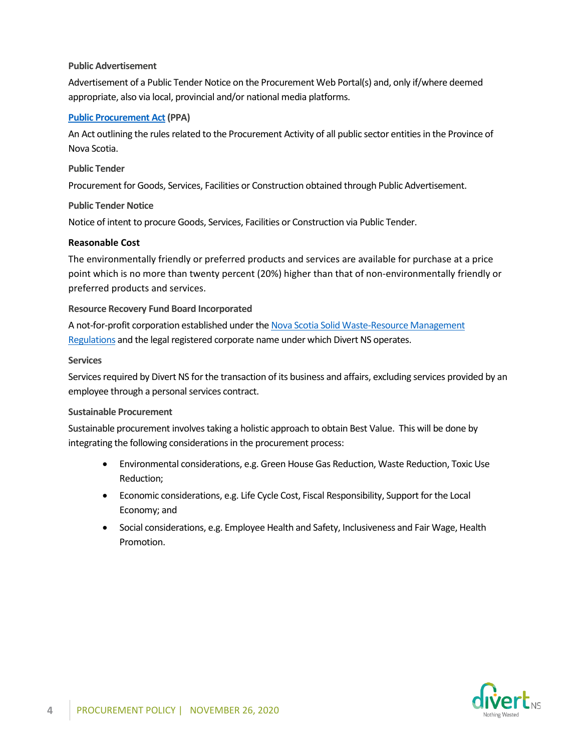#### **Public Advertisement**

Advertisement of a Public Tender Notice on the Procurement Web Portal(s) and, only if/where deemed appropriate, also via local, provincial and/or national media platforms.

#### **[Public Procurement Act](https://nslegislature.ca/legc/bills/61st_3rd/3rd_read/b023.htm#:~:text=1%20This%20Act%20may%20be%20cited%20as%20the,consistent%20and%20transparent%20manner%20resulting%20in%20best%20value%3B) (PPA)**

An Act outlining the rules related to the Procurement Activity of all public sector entitiesin the Province of Nova Scotia.

#### **Public Tender**

Procurement for Goods, Services, Facilities or Construction obtained through Public Advertisement.

#### **Public Tender Notice**

Notice of intent to procure Goods, Services, Facilities or Construction via Public Tender.

#### **Reasonable Cost**

The environmentally friendly or preferred products and services are available for purchase at a price point which is no more than twenty percent (20%) higher than that of non-environmentally friendly or preferred products and services.

#### **Resource Recovery Fund Board Incorporated**

A not-for-profit corporation established under th[e Nova Scotia Solid Waste-Resource Management](https://www.novascotia.ca/just/regulations/REGS/envsolid.htm#:~:text=Solid%20Waste-Resource%20Management%20Regulations%20-%20Environment%20Act%20%28Nova,consolidation%20is%20unofficial%20and%20is%20for%20reference%20only.)  [Regulations](https://www.novascotia.ca/just/regulations/REGS/envsolid.htm#:~:text=Solid%20Waste-Resource%20Management%20Regulations%20-%20Environment%20Act%20%28Nova,consolidation%20is%20unofficial%20and%20is%20for%20reference%20only.) and the legal registered corporate name under which Divert NS operates.

#### **Services**

Services required by Divert NS for the transaction of its business and affairs, excluding services provided by an employee through a personal services contract.

#### **Sustainable Procurement**

Sustainable procurement involves taking a holistic approach to obtain Best Value. This will be done by integrating the following considerations in the procurement process:

- Environmental considerations, e.g. Green House Gas Reduction, Waste Reduction, Toxic Use Reduction;
- Economic considerations, e.g. Life Cycle Cost, Fiscal Responsibility, Support for the Local Economy; and
- Social considerations, e.g. Employee Health and Safety, Inclusiveness and Fair Wage, Health Promotion.

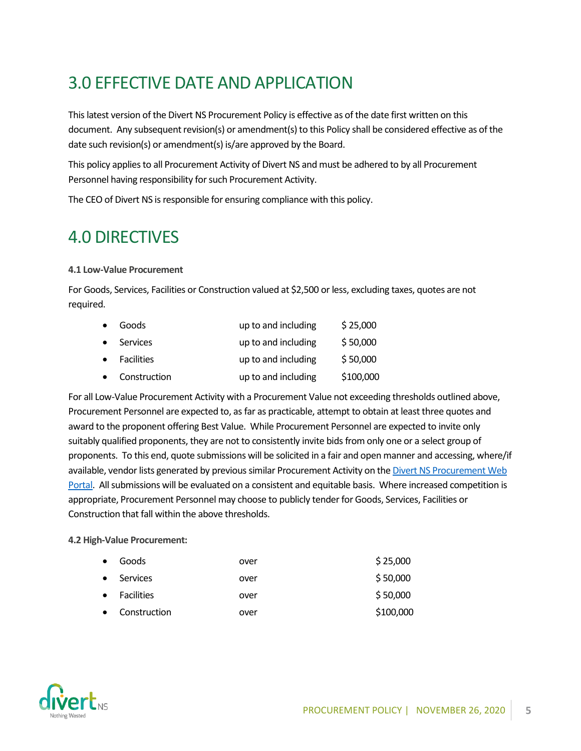# <span id="page-6-0"></span>3.0 EFFECTIVE DATE AND APPLICATION

This latest version of the Divert NS Procurement Policy is effective as of the date first written on this document. Any subsequent revision(s) or amendment(s) to this Policy shall be considered effective as of the date such revision(s) or amendment(s) is/are approved by the Board.

This policy applies to all Procurement Activity of Divert NS and must be adhered to by all Procurement Personnel having responsibility for such Procurement Activity.

The CEO of Divert NS is responsible for ensuring compliance with this policy.

### <span id="page-6-1"></span>4.0 DIRECTIVES

#### **4.1 Low-Value Procurement**

For Goods, Services, Facilities or Construction valued at \$2,500 or less, excluding taxes, quotes are not required.

| $\bullet$ | Goods        | up to and including | \$25,000  |
|-----------|--------------|---------------------|-----------|
| $\bullet$ | Services     | up to and including | \$50,000  |
| $\bullet$ | Facilities   | up to and including | \$50,000  |
|           | Construction | up to and including | \$100,000 |

For all Low-Value Procurement Activity with a Procurement Value not exceeding thresholds outlined above, Procurement Personnel are expected to, as far as practicable, attempt to obtain at least three quotes and award to the proponent offering Best Value. While Procurement Personnel are expected to invite only suitably qualified proponents, they are not to consistently invite bids from only one or a select group of proponents. To this end, quote submissions will be solicited in a fair and open manner and accessing, where/if available, vendor lists generated by previous similar Procurement Activity on th[e Divert NS Procurement Web](https://divertns.bidsandtenders.ca/Module/Tenders/en)  [Portal.](https://divertns.bidsandtenders.ca/Module/Tenders/en) All submissions will be evaluated on a consistent and equitable basis. Where increased competition is appropriate, Procurement Personnel may choose to publicly tender for Goods, Services, Facilities or Construction that fall within the above thresholds.

#### **4.2 High-Value Procurement:**

| $\bullet$ | Goods        | over | \$25,000  |
|-----------|--------------|------|-----------|
| $\bullet$ | Services     | over | \$50,000  |
| $\bullet$ | Facilities   | over | \$50,000  |
| $\bullet$ | Construction | over | \$100,000 |

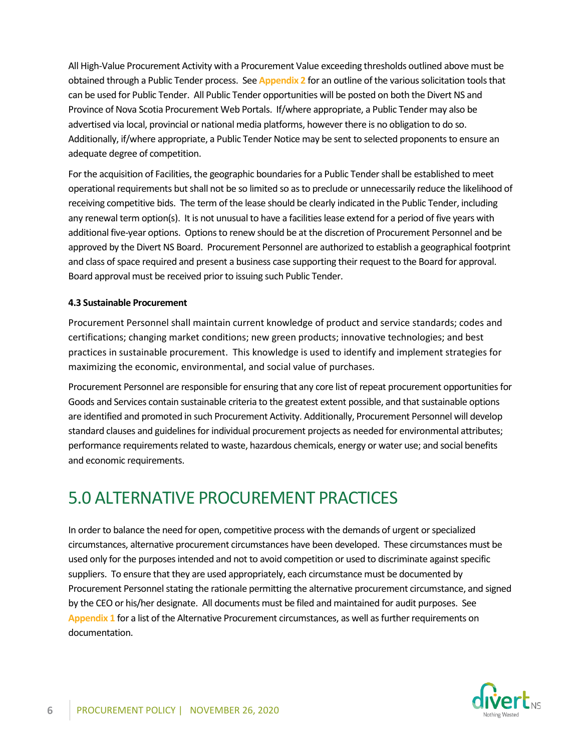All High-Value Procurement Activity with a Procurement Value exceeding thresholds outlined above must be obtained through a Public Tender process. See **Appendix 2** for an outline of the various solicitation tools that can be used for Public Tender. All Public Tender opportunities will be posted on both the Divert NS and Province of Nova Scotia Procurement Web Portals. If/where appropriate, a Public Tender may also be advertised via local, provincial or national media platforms, however there is no obligation to do so. Additionally, if/where appropriate, a Public Tender Notice may be sent to selected proponents to ensure an adequate degree of competition.

For the acquisition of Facilities, the geographic boundaries for a Public Tendershall be established to meet operational requirements but shall not be so limited so as to preclude or unnecessarily reduce the likelihood of receiving competitive bids. The term of the lease should be clearly indicated in the Public Tender, including any renewal term option(s). It is not unusual to have a facilities lease extend for a period of five years with additional five-year options. Options to renew should be at the discretion of Procurement Personnel and be approved by the Divert NS Board. Procurement Personnel are authorized to establish a geographical footprint and class of space required and present a business case supporting their request to the Board for approval. Board approval must be received prior to issuing such Public Tender.

#### **4.3 Sustainable Procurement**

Procurement Personnel shall maintain current knowledge of product and service standards; codes and certifications; changing market conditions; new green products; innovative technologies; and best practices in sustainable procurement. This knowledge is used to identify and implement strategies for maximizing the economic, environmental, and social value of purchases.

Procurement Personnel are responsible for ensuring that any core list of repeat procurement opportunitiesfor Goods and Services contain sustainable criteria to the greatest extent possible, and that sustainable options are identified and promoted in such Procurement Activity. Additionally, Procurement Personnel will develop standard clauses and guidelines for individual procurement projects as needed for environmental attributes; performance requirements related to waste, hazardous chemicals, energy or water use; and social benefits and economic requirements.

### <span id="page-7-0"></span>5.0 ALTERNATIVE PROCUREMENT PRACTICES

In order to balance the need for open, competitive process with the demands of urgent or specialized circumstances, alternative procurement circumstances have been developed. These circumstances must be used only for the purposes intended and not to avoid competition or used to discriminate against specific suppliers. To ensure that they are used appropriately, each circumstance must be documented by Procurement Personnel stating the rationale permitting the alternative procurement circumstance, and signed by the CEO or his/her designate. All documents must be filed and maintained for audit purposes. See **Appendix 1** for a list of the Alternative Procurement circumstances, as well as further requirements on documentation.

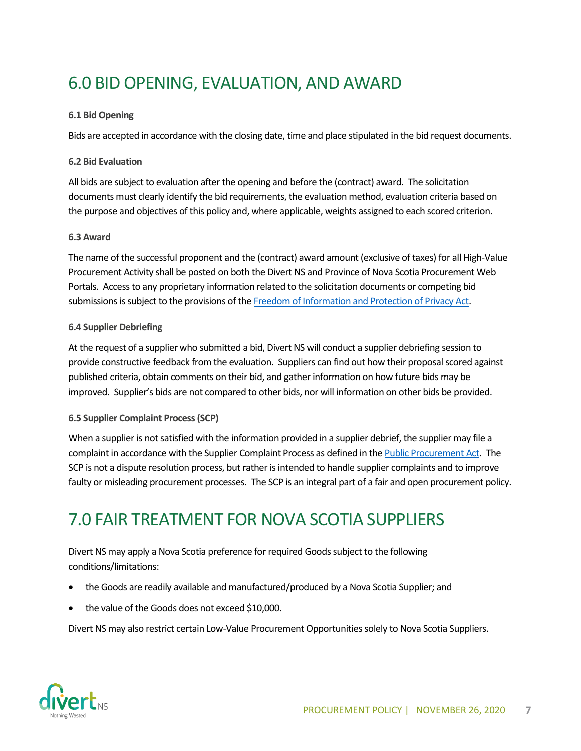# <span id="page-8-0"></span>6.0 BID OPENING, EVALUATION, AND AWARD

#### **6.1 Bid Opening**

Bids are accepted in accordance with the closing date, time and place stipulated in the bid request documents.

#### **6.2 Bid Evaluation**

All bids are subject to evaluation after the opening and before the (contract) award. The solicitation documents must clearly identify the bid requirements, the evaluation method, evaluation criteria based on the purpose and objectives of this policy and, where applicable, weights assigned to each scored criterion.

#### **6.3 Award**

The name of the successful proponent and the (contract) award amount (exclusive of taxes) for all High-Value Procurement Activity shall be posted on both the Divert NS and Province of Nova Scotia Procurement Web Portals. Access to any proprietary information related to the solicitation documents or competing bid submissions is subject to the provisions of th[e Freedom of Information and Protection of Privacy Act.](https://nslegislature.ca/sites/default/files/legc/statutes/freedom%20of%20information%20and%20protection%20of%20privacy.pdf)

#### **6.4 Supplier Debriefing**

At the request of a supplier who submitted a bid, Divert NS will conduct a supplier debriefing session to provide constructive feedback from the evaluation. Suppliers can find out how their proposal scored against published criteria, obtain comments on their bid, and gather information on how future bids may be improved. Supplier's bids are not compared to other bids, nor will information on other bids be provided.

#### **6.5 Supplier Complaint Process (SCP)**

When a supplier is not satisfied with the information provided in a supplier debrief, the supplier may file a complaint in accordance with the Supplier Complaint Process as defined in th[e Public Procurement Act.](https://nslegislature.ca/legc/bills/61st_3rd/3rd_read/b023.htm) The SCP is not a dispute resolution process, but rather is intended to handle supplier complaints and to improve faulty or misleading procurement processes. The SCP is an integral part of a fair and open procurement policy.

### <span id="page-8-1"></span>7.0 FAIR TREATMENT FOR NOVA SCOTIA SUPPLIERS

Divert NS may apply a Nova Scotia preference for required Goodssubject to the following conditions/limitations:

- the Goods are readily available and manufactured/produced by a Nova Scotia Supplier; and
- the value of the Goods does not exceed \$10,000.

Divert NS may also restrict certain Low-Value Procurement Opportunities solely to Nova Scotia Suppliers.

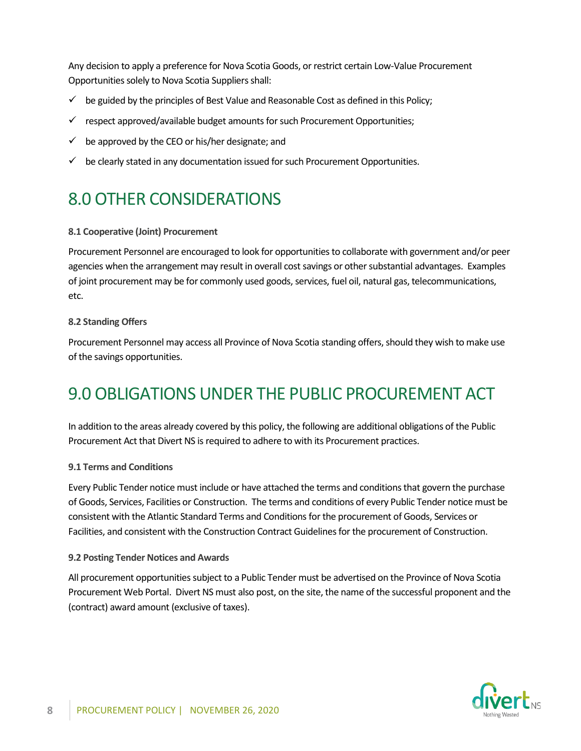Any decision to apply a preference for Nova Scotia Goods, or restrict certain Low-Value Procurement Opportunities solely to Nova Scotia Suppliers shall:

- $\checkmark$  be guided by the principles of Best Value and Reasonable Cost as defined in this Policy;
- $\checkmark$  respect approved/available budget amounts for such Procurement Opportunities;
- $\checkmark$  be approved by the CEO or his/her designate; and
- $\checkmark$  be clearly stated in any documentation issued for such Procurement Opportunities.

# <span id="page-9-0"></span>8.0 OTHER CONSIDERATIONS

#### **8.1 Cooperative (Joint) Procurement**

Procurement Personnel are encouraged to look for opportunities to collaborate with government and/or peer agencies when the arrangement may result in overall cost savings or other substantial advantages. Examples of joint procurement may be for commonly used goods, services, fuel oil, natural gas, telecommunications, etc.

#### **8.2 Standing Offers**

Procurement Personnel may access all Province of Nova Scotia standing offers, should they wish to make use of the savings opportunities.

## 9.0 OBLIGATIONS UNDER THE PUBLIC PROCUREMENT ACT

In addition to the areas already covered by this policy, the following are additional obligations of the Public Procurement Act that Divert NS is required to adhere to with its Procurement practices.

#### **9.1 Terms and Conditions**

Every Public Tender notice must include or have attached the terms and conditions that govern the purchase of Goods, Services, Facilities or Construction. The terms and conditions of every Public Tender notice must be consistent with the Atlantic Standard Terms and Conditions for the procurement of Goods, Services or Facilities, and consistent with the Construction Contract Guidelinesfor the procurement of Construction.

#### **9.2 Posting Tender Notices and Awards**

All procurement opportunities subject to a Public Tender must be advertised on the Province of Nova Scotia Procurement Web Portal. Divert NS must also post, on the site, the name of the successful proponent and the (contract) award amount (exclusive of taxes).

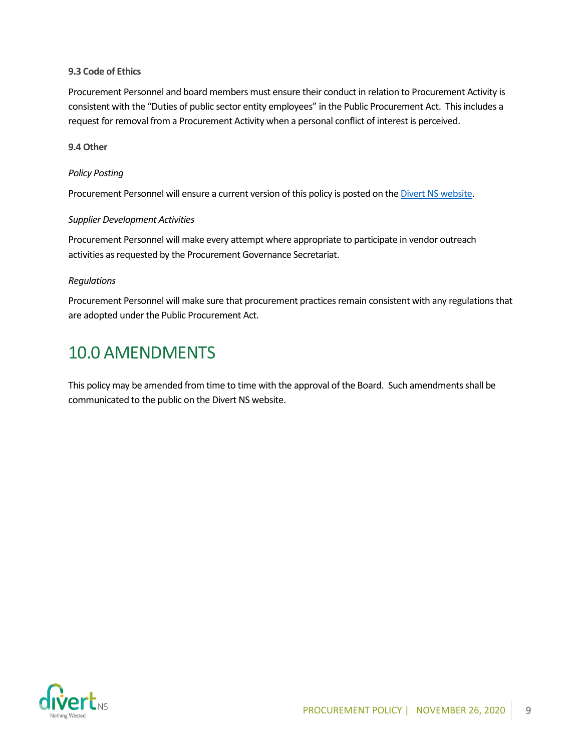#### **9.3 Code of Ethics**

Procurement Personnel and board members must ensure their conduct in relation to Procurement Activity is consistent with the "Duties of public sector entity employees" in the Public Procurement Act. This includes a request for removal from a Procurement Activity when a personal conflict of interest is perceived.

#### **9.4 Other**

#### *Policy Posting*

Procurement Personnel will ensure a current version of this policy is posted on th[e Divert NS website.](https://divertns.ca/assets/files/ProcurementPolicy.pdf)

#### *Supplier Development Activities*

Procurement Personnel will make every attempt where appropriate to participate in vendor outreach activities as requested by the Procurement Governance Secretariat.

#### *Regulations*

Procurement Personnel will make sure that procurement practices remain consistent with any regulations that are adopted under the Public Procurement Act.

### <span id="page-10-0"></span>10.0 AMENDMENTS

This policy may be amended from time to time with the approval of the Board. Such amendments shall be communicated to the public on the Divert NS website.

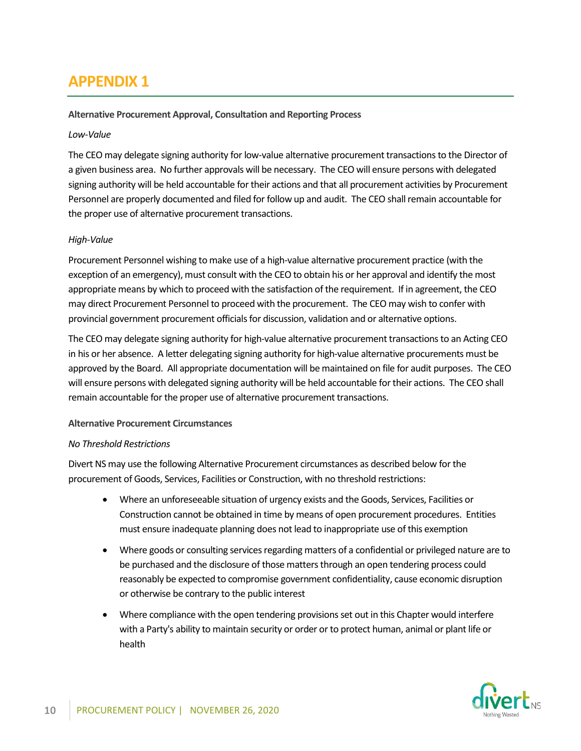### **APPENDIX 1**

#### **Alternative Procurement Approval, Consultation and Reporting Process**

#### *Low-Value*

The CEO may delegate signing authority for low-value alternative procurement transactions to the Director of a given business area. No further approvals will be necessary. The CEO will ensure persons with delegated signing authority will be held accountable for their actions and that all procurement activities by Procurement Personnel are properly documented and filed for follow up and audit. The CEO shall remain accountable for the proper use of alternative procurement transactions.

#### *High-Value*

Procurement Personnel wishing to make use of a high-value alternative procurement practice (with the exception of an emergency), must consult with the CEO to obtain his or her approval and identify the most appropriate means by which to proceed with the satisfaction of the requirement. If in agreement, the CEO may direct Procurement Personnel to proceed with the procurement. The CEO may wish to confer with provincial government procurement officials for discussion, validation and or alternative options.

The CEO may delegate signing authority for high-value alternative procurement transactions to an Acting CEO in his or her absence. A letter delegating signing authority for high-value alternative procurements must be approved by the Board. All appropriate documentation will be maintained on file for audit purposes. The CEO will ensure persons with delegated signing authority will be held accountable for their actions. The CEO shall remain accountable for the proper use of alternative procurement transactions.

#### **Alternative Procurement Circumstances**

#### *No Threshold Restrictions*

Divert NS may use the following Alternative Procurement circumstances as described below for the procurement of Goods, Services, Facilities or Construction, with no threshold restrictions:

- Where an unforeseeable situation of urgency exists and the Goods, Services, Facilities or Construction cannot be obtained in time by means of open procurement procedures. Entities must ensure inadequate planning does not lead to inappropriate use of this exemption
- Where goods or consulting services regarding matters of a confidential or privileged nature are to be purchased and the disclosure of those matters through an open tendering process could reasonably be expected to compromise government confidentiality, cause economic disruption or otherwise be contrary to the public interest
- Where compliance with the open tendering provisions set out in this Chapter would interfere with a Party's ability to maintain security or order or to protect human, animal or plant life or health

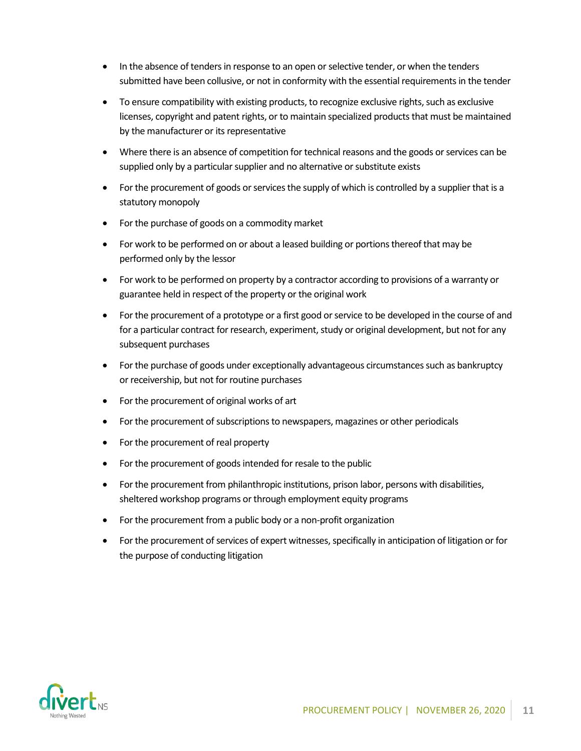- In the absence of tenders in response to an open or selective tender, or when the tenders submitted have been collusive, or not in conformity with the essential requirements in the tender
- To ensure compatibility with existing products, to recognize exclusive rights, such as exclusive licenses, copyright and patent rights, or to maintain specialized products that must be maintained by the manufacturer or its representative
- Where there is an absence of competition for technical reasons and the goods or services can be supplied only by a particular supplier and no alternative or substitute exists
- For the procurement of goods or services the supply of which is controlled by a supplier that is a statutory monopoly
- For the purchase of goods on a commodity market
- For work to be performed on or about a leased building or portions thereof that may be performed only by the lessor
- For work to be performed on property by a contractor according to provisions of a warranty or guarantee held in respect of the property or the original work
- For the procurement of a prototype or a first good or service to be developed in the course of and for a particular contract for research, experiment, study or original development, but not for any subsequent purchases
- For the purchase of goods under exceptionally advantageous circumstances such as bankruptcy or receivership, but not for routine purchases
- For the procurement of original works of art
- For the procurement of subscriptions to newspapers, magazines or other periodicals
- For the procurement of real property
- For the procurement of goods intended for resale to the public
- For the procurement from philanthropic institutions, prison labor, persons with disabilities, sheltered workshop programs or through employment equity programs
- For the procurement from a public body or a non-profit organization
- For the procurement of services of expert witnesses, specifically in anticipation of litigation or for the purpose of conducting litigation

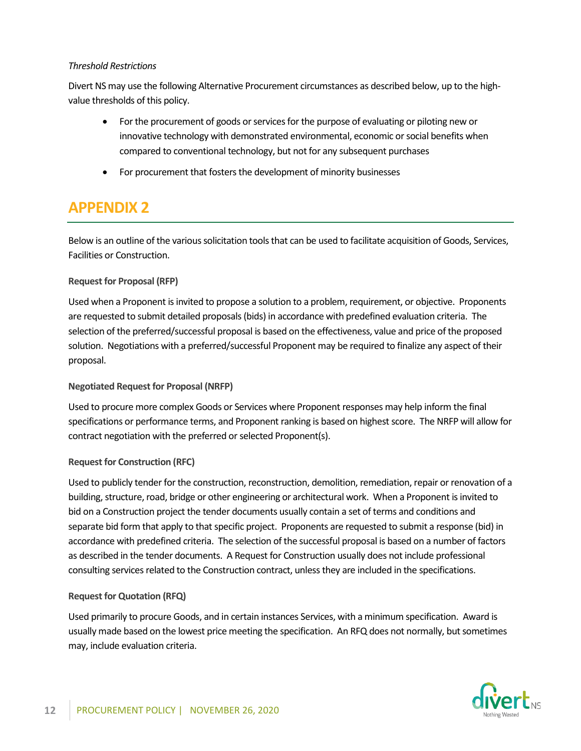#### *Threshold Restrictions*

Divert NS may use the following Alternative Procurement circumstances as described below, up to the highvalue thresholds of this policy.

- For the procurement of goods or services for the purpose of evaluating or piloting new or innovative technology with demonstrated environmental, economic or social benefits when compared to conventional technology, but not for any subsequent purchases
- For procurement that fosters the development of minority businesses

### **APPENDIX 2**

Below is an outline of the various solicitation tools that can be used to facilitate acquisition of Goods, Services, Facilities or Construction.

#### **Request for Proposal (RFP)**

Used when a Proponent is invited to propose a solution to a problem, requirement, or objective. Proponents are requested to submit detailed proposals (bids) in accordance with predefined evaluation criteria. The selection of the preferred/successful proposal is based on the effectiveness, value and price of the proposed solution. Negotiations with a preferred/successful Proponent may be required to finalize any aspect of their proposal.

#### **Negotiated Request for Proposal (NRFP)**

Used to procure more complex Goods or Services where Proponent responses may help inform the final specifications or performance terms, and Proponent ranking is based on highest score. The NRFP will allow for contract negotiation with the preferred or selected Proponent(s).

#### **Request for Construction (RFC)**

Used to publicly tender for the construction, reconstruction, demolition, remediation, repair or renovation of a building, structure, road, bridge or other engineering or architectural work. When a Proponent is invited to bid on a Construction project the tender documents usually contain a set of terms and conditions and separate bid form that apply to that specific project. Proponents are requested to submit a response (bid) in accordance with predefined criteria. The selection of the successful proposal is based on a number of factors as described in the tender documents. A Request for Construction usually does not include professional consulting services related to the Construction contract, unless they are included in the specifications.

#### **Request for Quotation (RFQ)**

Used primarily to procure Goods, and in certain instances Services, with a minimum specification. Award is usually made based on the lowest price meeting the specification. An RFQ does not normally, but sometimes may, include evaluation criteria.

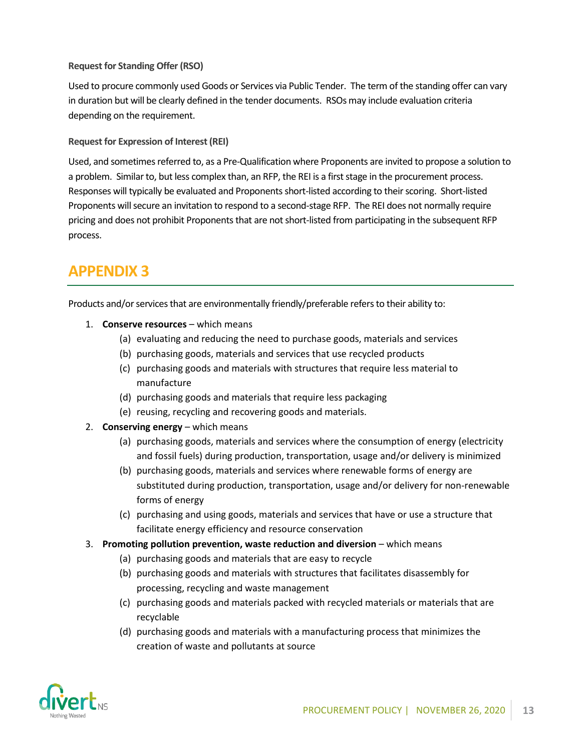#### **Request for Standing Offer (RSO)**

Used to procure commonly used Goods or Services via Public Tender. The term of the standing offer can vary in duration but will be clearly defined in the tender documents. RSOs may include evaluation criteria depending on the requirement.

**Request for Expression of Interest (REI)**

Used, and sometimes referred to, as a Pre-Qualification where Proponents are invited to propose a solution to a problem. Similar to, but less complex than, an RFP, the REI is a first stage in the procurement process. Responses will typically be evaluated and Proponents short-listed according to their scoring. Short-listed Proponents will secure an invitation to respond to a second-stage RFP. The REI does not normally require pricing and does not prohibit Proponents that are not short-listed from participating in the subsequent RFP process.

### **APPENDIX 3**

Products and/or services that are environmentally friendly/preferable refers to their ability to:

- 1. **Conserve resources**  which means
	- (a) evaluating and reducing the need to purchase goods, materials and services
	- (b) purchasing goods, materials and services that use recycled products
	- (c) purchasing goods and materials with structures that require less material to manufacture
	- (d) purchasing goods and materials that require less packaging
	- (e) reusing, recycling and recovering goods and materials.
- 2. **Conserving energy** which means
	- (a) purchasing goods, materials and services where the consumption of energy (electricity and fossil fuels) during production, transportation, usage and/or delivery is minimized
	- (b) purchasing goods, materials and services where renewable forms of energy are substituted during production, transportation, usage and/or delivery for non-renewable forms of energy
	- (c) purchasing and using goods, materials and services that have or use a structure that facilitate energy efficiency and resource conservation
- 3. Promoting pollution prevention, waste reduction and diversion which means
	- (a) purchasing goods and materials that are easy to recycle
	- (b) purchasing goods and materials with structures that facilitates disassembly for processing, recycling and waste management
	- (c) purchasing goods and materials packed with recycled materials or materials that are recyclable
	- (d) purchasing goods and materials with a manufacturing process that minimizes the creation of waste and pollutants at source